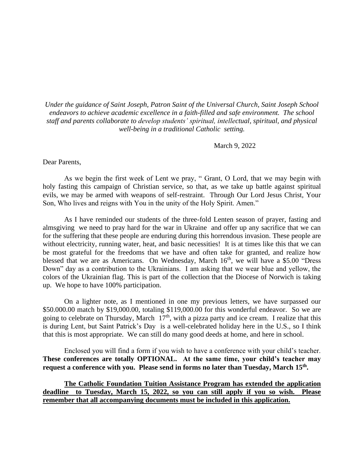*Under the guidance of Saint Joseph, Patron Saint of the Universal Church, Saint Joseph School endeavors to achieve academic excellence in a faith-filled and safe environment. The school staff and parents collaborate to develop students' spiritual, intellectual, spiritual, and physical well-being in a traditional Catholic setting.*

March 9, 2022

Dear Parents,

As we begin the first week of Lent we pray, " Grant, O Lord, that we may begin with holy fasting this campaign of Christian service, so that, as we take up battle against spiritual evils, we may be armed with weapons of self-restraint. Through Our Lord Jesus Christ, Your Son, Who lives and reigns with You in the unity of the Holy Spirit. Amen."

As I have reminded our students of the three-fold Lenten season of prayer, fasting and almsgiving we need to pray hard for the war in Ukraine and offer up any sacrifice that we can for the suffering that these people are enduring during this horrendous invasion. These people are without electricity, running water, heat, and basic necessities! It is at times like this that we can be most grateful for the freedoms that we have and often take for granted, and realize how blessed that we are as Americans. On Wednesday, March 16<sup>th</sup>, we will have a \$5.00 "Dress" Down" day as a contribution to the Ukrainians. I am asking that we wear blue and yellow, the colors of the Ukrainian flag. This is part of the collection that the Diocese of Norwich is taking up. We hope to have 100% participation.

On a lighter note, as I mentioned in one my previous letters, we have surpassed our \$50.000.00 match by \$19,000.00, totaling \$119,000.00 for this wonderful endeavor. So we are going to celebrate on Thursday, March  $17<sup>th</sup>$ , with a pizza party and ice cream. I realize that this is during Lent, but Saint Patrick's Day is a well-celebrated holiday here in the U.S., so I think that this is most appropriate. We can still do many good deeds at home, and here in school.

Enclosed you will find a form if you wish to have a conference with your child's teacher. **These conferences are totally OPTIONAL. At the same time, your child's teacher may request a conference with you. Please send in forms no later than Tuesday, March 15th .** 

**The Catholic Foundation Tuition Assistance Program has extended the application deadline to Tuesday, March 15, 2022, so you can still apply if you so wish. Please remember that all accompanying documents must be included in this application.**